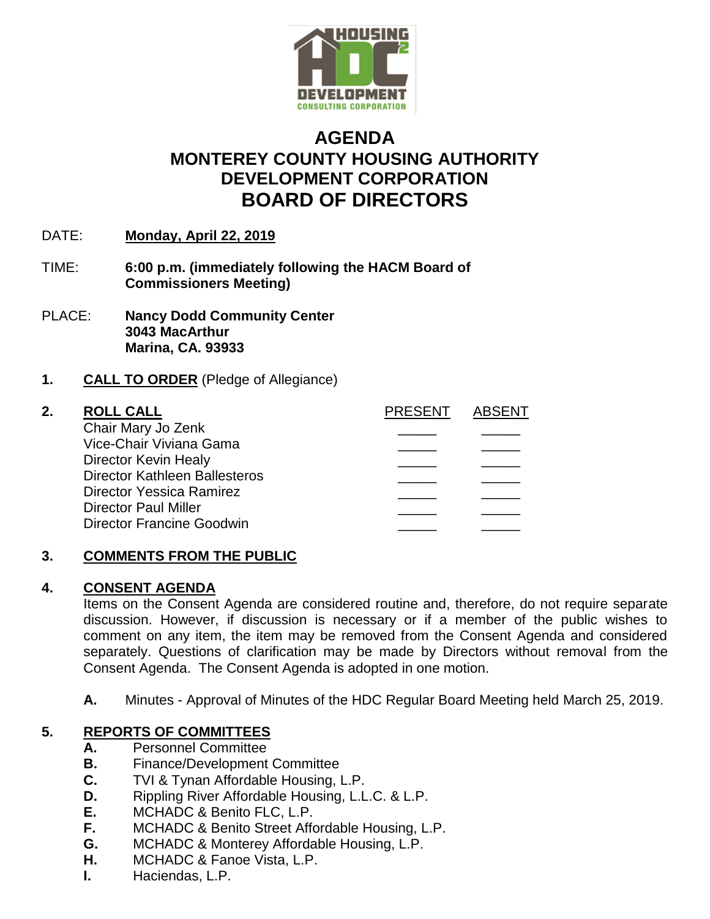

# **AGENDA MONTEREY COUNTY HOUSING AUTHORITY DEVELOPMENT CORPORATION BOARD OF DIRECTORS**

- DATE: **Monday, April 22, 2019**
- TIME: **6:00 p.m. (immediately following the HACM Board of Commissioners Meeting)**
- PLACE: **Nancy Dodd Community Center 3043 MacArthur Marina, CA. 93933**

### **1. CALL TO ORDER** (Pledge of Allegiance)

### **2. ROLL CALL PRESENT ABSENT** Chair Mary Jo Zenk \_\_\_\_\_ \_\_\_\_\_ Vice-Chair Viviana Gama \_\_\_\_\_ \_\_\_\_\_ Director Kevin Healy Director Kathleen Ballesteros \_\_\_\_\_ \_\_\_\_\_ Director Yessica Ramirez Director Paul Miller Director Francine Goodwin

# **3. COMMENTS FROM THE PUBLIC**

### **4. CONSENT AGENDA**

Items on the Consent Agenda are considered routine and, therefore, do not require separate discussion. However, if discussion is necessary or if a member of the public wishes to comment on any item, the item may be removed from the Consent Agenda and considered separately. Questions of clarification may be made by Directors without removal from the Consent Agenda. The Consent Agenda is adopted in one motion.

**A.** Minutes - Approval of Minutes of the HDC Regular Board Meeting held March 25, 2019.

# **5. REPORTS OF COMMITTEES**

- **A.** Personnel Committee
- **B.** Finance/Development Committee
- **C.** TVI & Tynan Affordable Housing, L.P.
- **D.** Rippling River Affordable Housing, L.L.C. & L.P.
- **E.** MCHADC & Benito FLC, L.P.
- **F.** MCHADC & Benito Street Affordable Housing, L.P.
- **G.** MCHADC & Monterey Affordable Housing, L.P.
- **H.** MCHADC & Fanoe Vista, L.P.
- **I.** Haciendas, L.P.